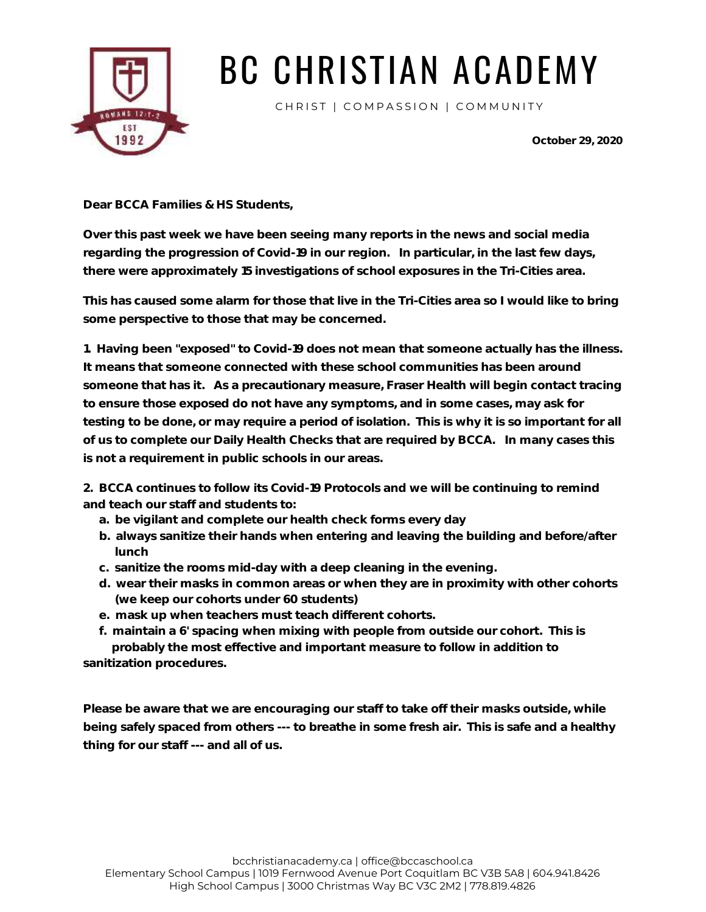

# BC CHRISTIAN ACADEMY

CHRIST | COMPASSION | COMMUNITY

**October 29, 2020**

**Dear BCCA Families & HS Students,**

**Over this past week we have been seeing many reports in the news and social media regarding the progression of Covid-19 in our region. In particular, in the last few days, there were approximately 15 investigations of school exposures in the Tri-Cities area.**

**This has caused some alarm for those that live in the Tri-Cities area so I would like to bring some perspective to those that may be concerned.**

**1. Having been "exposed" to Covid-19 does not mean that someone actually has the illness. It means that someone connected with these school communities has been around someone that has it. As a precautionary measure, Fraser Health will begin contact tracing to ensure those exposed do not have any symptoms, and in some cases, may ask for testing to be done, or may require a period of isolation. This is why it is so important for all of us to complete our Daily Health Checks that are required by BCCA. In many cases this is not a requirement in public schools in our areas.**

**2. BCCA continues to follow its Covid-19 Protocols and we will be continuing to remind and teach our staff and students to:**

- **a. be vigilant and complete our health check forms every day**
- **b. always sanitize their hands when entering and leaving the building and before/after lunch**
- **c. sanitize the rooms mid-day with a deep cleaning in the evening.**
- **d. wear their masks in common areas or when they are in proximity with other cohorts (we keep our cohorts under 60 students)**
- **e. mask up when teachers must teach different cohorts.**
- **f. maintain a 6' spacing when mixing with people from outside our cohort. This is probably the most effective and important measure to follow in addition to sanitization procedures.**

**Please be aware that we are encouraging our staff to take off their masks outside, while being safely spaced from others --- to breathe in some fresh air. This is safe and a healthy thing for our staff --- and all of us.**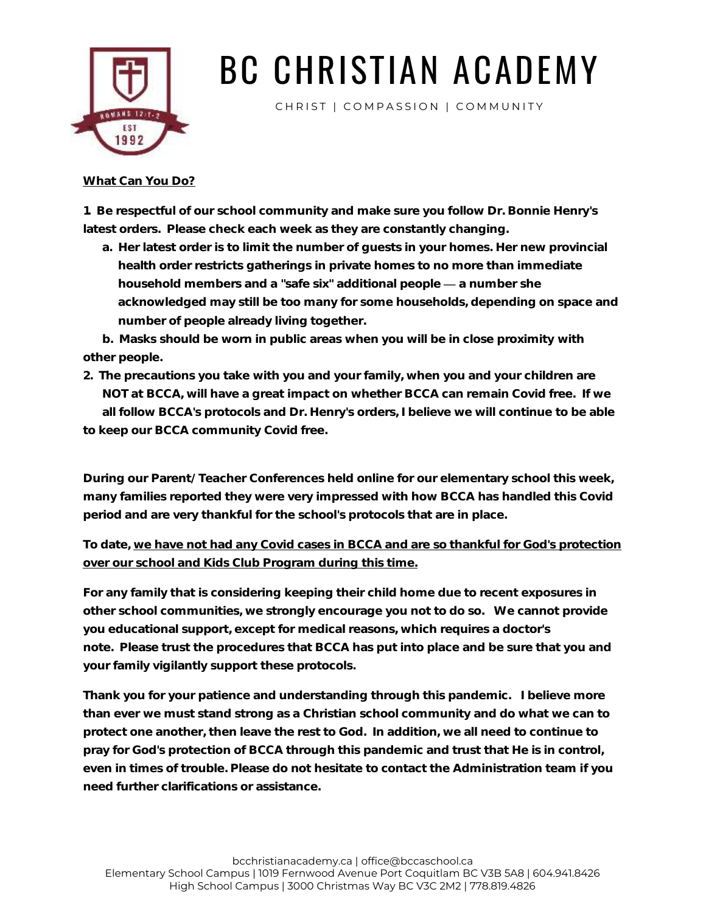

# BC CHRISTIAN ACADEMY

CHRIST | COMPASSION | COMMUNITY

#### **What Can You Do?**

**1. Be respectful of our school community and make sure you follow Dr. Bonnie Henry's latest orders. Please check each week as they are constantly changing.**

**a. Her latest order is to limit the number of guests in your homes. Her new provincial health order restricts gatherings in private homes to no more than immediate household members and a "safe six" additional people a number she acknowledged may still be too many for some households, depending on space and number of people already living together.**

**b. Masks should be worn in public areas when you will be in close proximity with other people.**

**2. The precautions you take with you and your family, when you and your children are NOT at BCCA, will have a great impact on whether BCCA can remain Covid free. If we all follow BCCA's protocols and Dr. Henry's orders, I believe we will continue to be able to keep our BCCA community Covid free.**

**During our Parent/ Teacher Conferences held online for our elementary school this week, many families reported they were very impressed with how BCCA has handled this Covid period and are very thankful for the school's protocols that are in place.**

### **To date, we have not had any Covid cases in BCCA and are so thankful for God's protection over our school and Kids Club Program during this time.**

**For any family that is considering keeping their child home due to recent exposures in other school communities, we strongly encourage you not to do so. We cannot provide you educational support, except for medical reasons, which requires a doctor's note. Please trust the procedures that BCCA has put into place and be sure that you and your family vigilantly support these protocols.**

**Thank you for your patience and understanding through this pandemic. I believe more than ever we must stand strong as a Christian school community and do what we can to protect one another, then leave the rest to God. In addition, we all need to continue to pray for God's protection of BCCA through this pandemic and trust that He is in control, even in times of trouble. Please do not hesitate to contact the Administration team if you need further clarifications or assistance.**